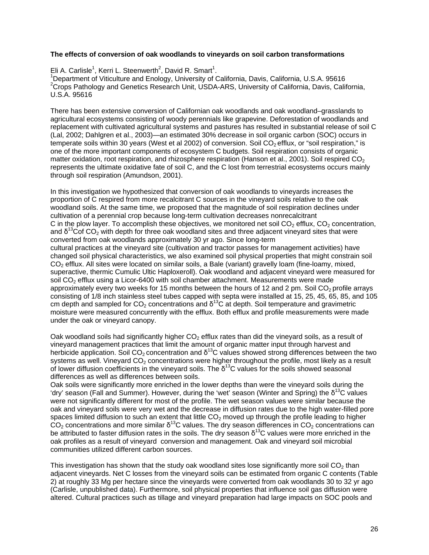## **The effects of conversion of oak woodlands to vineyards on soil carbon transformations**

Eli A. Carlisle<sup>1</sup>, Kerri L. Steenwerth<sup>2</sup>, David R. Smart<sup>1</sup>.<br><sup>1</sup> Department of Vitigalture and Englacy, University of C

<sup>1</sup>Department of Viticulture and Enology, University of California, Davis, California, U.S.A. 95616 <sup>2</sup> Crops Pathology and Genetics Research Unit, USDA-ARS, University of California, Davis, California, U.S.A. 95616

There has been extensive conversion of Californian oak woodlands and oak woodland–grasslands to agricultural ecosystems consisting of woody perennials like grapevine. Deforestation of woodlands and replacement with cultivated agricultural systems and pastures has resulted in substantial release of soil C (Lal, 2002; Dahlgren et al., 2003)—an estimated 30% decrease in soil organic carbon (SOC) occurs in temperate soils within 30 years (West et al 2002) of conversion. Soil  $CO<sub>2</sub>$  efflux, or "soil respiration," is one of the more important components of ecosystem C budgets. Soil respiration consists of organic matter oxidation, root respiration, and rhizosphere respiration (Hanson et al., 2001). Soil respired  $CO<sub>2</sub>$ represents the ultimate oxidative fate of soil C, and the C lost from terrestrial ecosystems occurs mainly through soil respiration (Amundson, 2001).

In this investigation we hypothesized that conversion of oak woodlands to vineyards increases the proportion of C respired from more recalcitrant C sources in the vineyard soils relative to the oak woodland soils. At the same time, we proposed that the magnitude of soil respiration declines under cultivation of a perennial crop because long-term cultivation decreases nonrecalcitrant C in the plow layer. To accomplish these objectives, we monitored net soil  $CO<sub>2</sub>$  efflux,  $CO<sub>2</sub>$  concentration, and  $\delta^{13}$ Cof CO<sub>2</sub> with depth for three oak woodland sites and three adjacent vineyard sites that were converted from oak woodlands approximately 30 yr ago. Since long-term cultural practices at the vineyard site (cultivation and tractor passes for management activities) have changed soil physical characteristics, we also examined soil physical properties that might constrain soil CO<sub>2</sub> efflux. All sites were located on similar soils, a Bale (variant) gravelly loam (fine-loamy, mixed, superactive, thermic Cumulic Ultic Haploxeroll). Oak woodland and adjacent vineyard were measured for soil  $CO<sub>2</sub>$  efflux using a Licor-6400 with soil chamber attachment. Measurements were made approximately every two weeks for 15 months between the hours of 12 and 2 pm. Soil  $CO<sub>2</sub>$  profile arrays consisting of 1/8 inch stainless steel tubes capped with septa were installed at 15, 25, 45, 65, 85, and 105 cm depth and sampled for  $CO_2$  concentrations and  $\delta^{13}$ C at depth. Soil temperature and gravimetric moisture were measured concurrently with the efflux. Both efflux and profile measurements were made under the oak or vineyard canopy.

Oak woodland soils had significantly higher  $CO<sub>2</sub>$  efflux rates than did the vineyard soils, as a result of vineyard management practices that limit the amount of organic matter input through harvest and herbicide application. Soil CO<sub>2</sub> concentration and  $\delta^{13}$ C values showed strong differences between the two systems as well. Vineyard  $CO<sub>2</sub>$  concentrations were higher throughout the profile, most likely as a result of lower diffusion coefficients in the vineyard soils. The  $\delta^{13}$ C values for the soils showed seasonal differences as well as differences between soils.

Oak soils were significantly more enriched in the lower depths than were the vineyard soils during the 'dry' season (Fall and Summer). However, during the 'wet' season (Winter and Spring) the  $\delta^{13}C$  values were not significantly different for most of the profile. The wet season values were similar because the oak and vineyard soils were very wet and the decrease in diffusion rates due to the high water-filled pore spaces limited diffusion to such an extent that little  $CO<sub>2</sub>$  moved up through the profile leading to higher  $CO<sub>2</sub>$  concentrations and more similar  $\delta^{13}$ C values. The dry season differences in CO<sub>2</sub> concentrations can  $\frac{1}{2}$  be attributed to faster diffusion rates in the soils. The dry season δ<sup>13</sup>C values were more enriched in the oak profiles as a result of vineyard conversion and management. Oak and vineyard soil microbial communities utilized different carbon sources.

This investigation has shown that the study oak woodland sites lose significantly more soil  $CO<sub>2</sub>$  than adjacent vineyards. Net C losses from the vineyard soils can be estimated from organic C contents (Table 2) at roughly 33 Mg per hectare since the vineyards were converted from oak woodlands 30 to 32 yr ago (Carlisle, unpublished data). Furthermore, soil physical properties that influence soil gas diffusion were altered. Cultural practices such as tillage and vineyard preparation had large impacts on SOC pools and